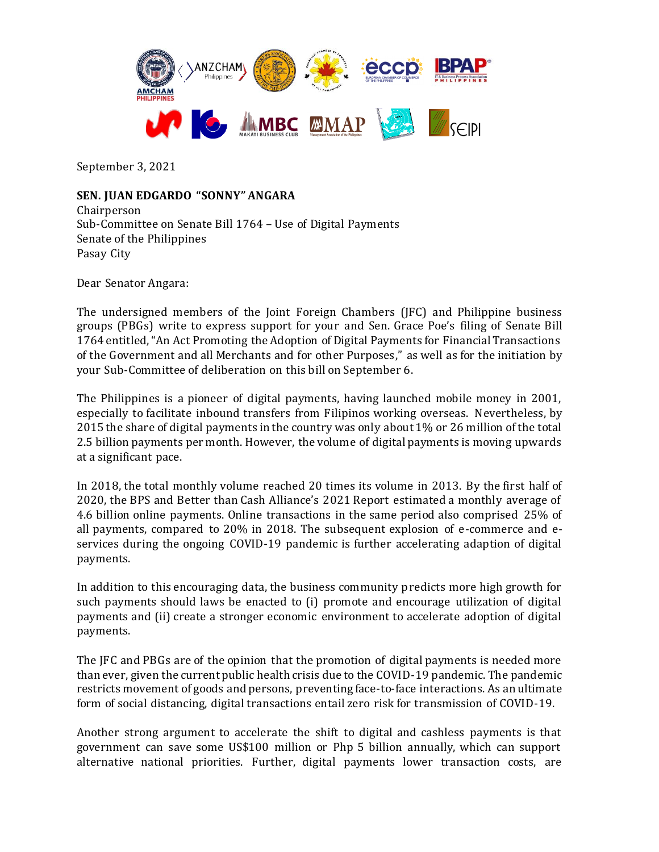

September 3, 2021

## **SEN. JUAN EDGARDO "SONNY" ANGARA**

Chairperson Sub-Committee on Senate Bill 1764 – Use of Digital Payments Senate of the Philippines Pasay City

Dear Senator Angara:

The undersigned members of the Joint Foreign Chambers (JFC) and Philippine business groups (PBGs) write to express support for your and Sen. Grace Poe's filing of Senate Bill 1764 entitled, "An Act Promoting the Adoption of Digital Payments for Financial Transactions of the Government and all Merchants and for other Purposes," as well as for the initiation by your Sub-Committee of deliberation on this bill on September 6.

The Philippines is a pioneer of digital payments, having launched mobile money in 2001, especially to facilitate inbound transfers from Filipinos working overseas. Nevertheless, by 2015 the share of digital payments in the country was only about 1% or 26 million of the total 2.5 billion payments per month. However, the volume of digital payments is moving upwards at a significant pace.

In 2018, the total monthly volume reached 20 times its volume in 2013. By the first half of 2020, the BPS and Better than Cash Alliance's 2021 Report estimated a monthly average of 4.6 billion online payments. Online transactions in the same period also comprised 25% of all payments, compared to 20% in 2018. The subsequent explosion of e-commerce and eservices during the ongoing COVID-19 pandemic is further accelerating adaption of digital payments.

In addition to this encouraging data, the business community predicts more high growth for such payments should laws be enacted to (i) promote and encourage utilization of digital payments and (ii) create a stronger economic environment to accelerate adoption of digital payments.

The JFC and PBGs are of the opinion that the promotion of digital payments is needed more than ever, given the current public health crisis due to the COVID-19 pandemic. The pandemic restricts movement of goods and persons, preventing face-to-face interactions. As an ultimate form of social distancing, digital transactions entail zero risk for transmission of COVID-19.

Another strong argument to accelerate the shift to digital and cashless payments is that government can save some US\$100 million or Php 5 billion annually, which can support alternative national priorities. Further, digital payments lower transaction costs, are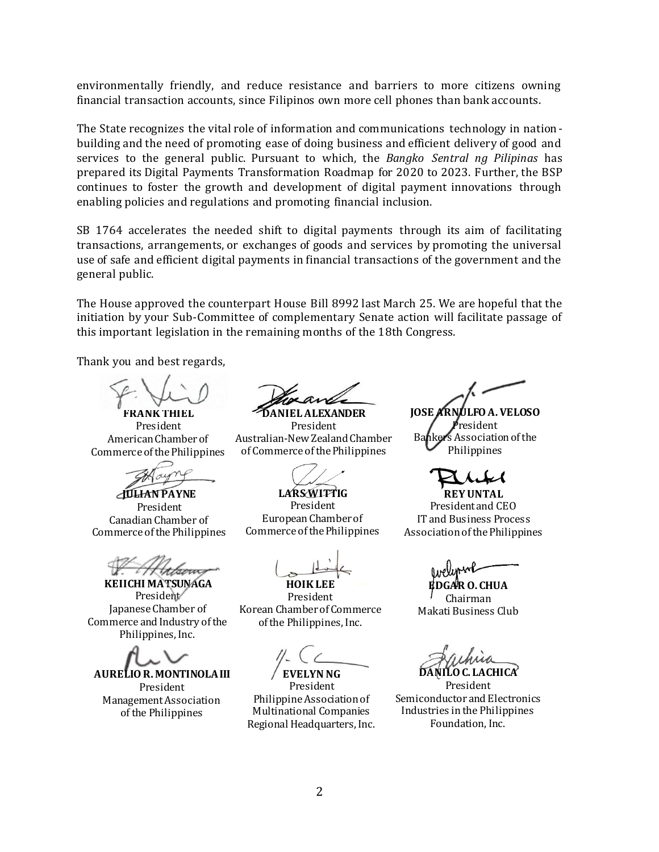environmentally friendly, and reduce resistance and barriers to more citizens owning financial transaction accounts, since Filipinos own more cell phones than bank accounts.

The State recognizes the vital role of information and communications technology in nationbuilding and the need of promoting ease of doing business and efficient delivery of good and services to the general public. Pursuant to which, the *Bangko Sentral ng Pilipinas* has prepared its Digital Payments Transformation Roadmap for 2020 to 2023. Further, the BSP continues to foster the growth and development of digital payment innovations through enabling policies and regulations and promoting financial inclusion.

SB 1764 accelerates the needed shift to digital payments through its aim of facilitating transactions, arrangements, or exchanges of goods and services by promoting the universal use of safe and efficient digital payments in financial transactions of the government and the general public.

The House approved the counterpart House Bill 8992 last March 25. We are hopeful that the initiation by your Sub-Committee of complementary Senate action will facilitate passage of this important legislation in the remaining months of the 18th Congress.

Thank you and best regards,

**FRANK THIEL**

President American Chamber of Commerce of the Philippines

**JULIAN PAYNE** President Canadian Chamber of Commerce of the Philippines

**KEIICHI MATSUNAGA** President<sup>/</sup> Japanese Chamber of Commerce and Industry of the Philippines, Inc.

**AURELIO R. MONTINOLA III**

President Management Association of the Philippines

**DANIEL ALEXANDER**

President Australian-New Zealand Chamber of Commerce of the Philippines

**LARS WITTIG** President European Chamber of Commerce of the Philippines

**HOIK LEE**

President Korean Chamber of Commerce of the Philippines, Inc.

**EVELYN NG**

President Philippine Association of Multinational Companies Regional Headquarters, Inc.

**JOSE ARNULFO A. VELOSO** <sup>i</sup>resident Bankers Association of the Philippines

**REY UNTAL** President and CEO IT and Business Process Association of the Philippines

**O. CHUA** Chairman Makati Business Club

**DANILO C. LACHICA**

President Semiconductor and Electronics Industries in the Philippines Foundation, Inc.